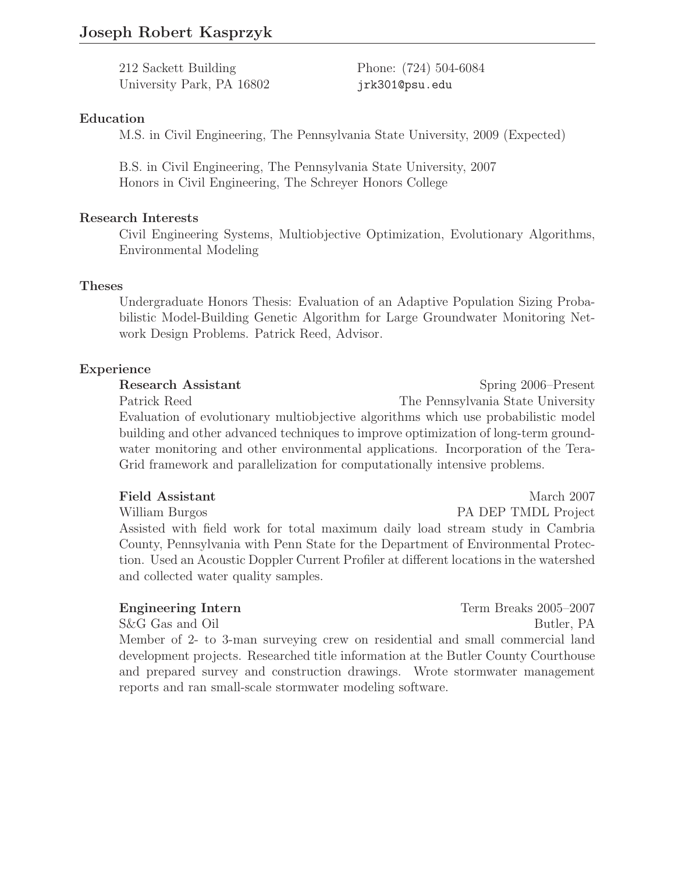# **Joseph Robert Kasprzyk**

212 Sackett Building Phone: (724) 504-6084 University Park, PA 16802 jrk301@psu.edu

## **Education**

M.S. in Civil Engineering, The Pennsylvania State University, 2009 (Expected)

B.S. in Civil Engineering, The Pennsylvania State University, 2007 Honors in Civil Engineering, The Schreyer Honors College

## **Research Interests**

Civil Engineering Systems, Multiobjective Optimization, Evolutionary Algorithms, Environmental Modeling

## **Theses**

Undergraduate Honors Thesis: Evaluation of an Adaptive Population Sizing Probabilistic Model-Building Genetic Algorithm for Large Groundwater Monitoring Network Design Problems. Patrick Reed, Advisor.

## **Experience**

**Research Assistant** Spring 2006–Present Patrick Reed The Pennsylvania State University Evaluation of evolutionary multiobjective algorithms which use probabilistic model building and other advanced techniques to improve optimization of long-term groundwater monitoring and other environmental applications. Incorporation of the Tera-Grid framework and parallelization for computationally intensive problems.

#### **Field Assistant** March 2007

William Burgos **PA DEP TMDL Project** Assisted with field work for total maximum daily load stream study in Cambria County, Pennsylvania with Penn State for the Department of Environmental Protection. Used an Acoustic Doppler Current Profiler at different locations in the watershed and collected water quality samples.

## **Engineering Intern** Term Breaks 2005–2007

S&G Gas and Oil Butler, PA Member of 2- to 3-man surveying crew on residential and small commercial land development projects. Researched title information at the Butler County Courthouse and prepared survey and construction drawings. Wrote stormwater management reports and ran small-scale stormwater modeling software.